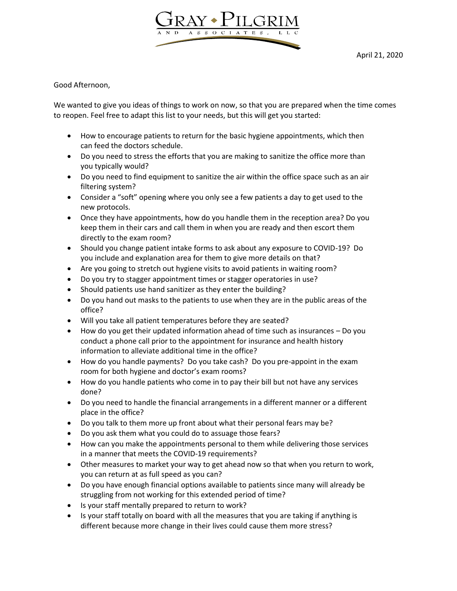

Good Afternoon,

We wanted to give you ideas of things to work on now, so that you are prepared when the time comes to reopen. Feel free to adapt this list to your needs, but this will get you started:

- How to encourage patients to return for the basic hygiene appointments, which then can feed the doctors schedule.
- Do you need to stress the efforts that you are making to sanitize the office more than you typically would?
- Do you need to find equipment to sanitize the air within the office space such as an air filtering system?
- Consider a "soft" opening where you only see a few patients a day to get used to the new protocols.
- Once they have appointments, how do you handle them in the reception area? Do you keep them in their cars and call them in when you are ready and then escort them directly to the exam room?
- Should you change patient intake forms to ask about any exposure to COVID-19? Do you include and explanation area for them to give more details on that?
- Are you going to stretch out hygiene visits to avoid patients in waiting room?
- Do you try to stagger appointment times or stagger operatories in use?
- Should patients use hand sanitizer as they enter the building?
- Do you hand out masks to the patients to use when they are in the public areas of the office?
- Will you take all patient temperatures before they are seated?
- How do you get their updated information ahead of time such as insurances Do you conduct a phone call prior to the appointment for insurance and health history information to alleviate additional time in the office?
- How do you handle payments? Do you take cash? Do you pre-appoint in the exam room for both hygiene and doctor's exam rooms?
- How do you handle patients who come in to pay their bill but not have any services done?
- Do you need to handle the financial arrangements in a different manner or a different place in the office?
- Do you talk to them more up front about what their personal fears may be?
- Do you ask them what you could do to assuage those fears?
- How can you make the appointments personal to them while delivering those services in a manner that meets the COVID-19 requirements?
- Other measures to market your way to get ahead now so that when you return to work, you can return at as full speed as you can?
- Do you have enough financial options available to patients since many will already be struggling from not working for this extended period of time?
- Is your staff mentally prepared to return to work?
- Is your staff totally on board with all the measures that you are taking if anything is different because more change in their lives could cause them more stress?